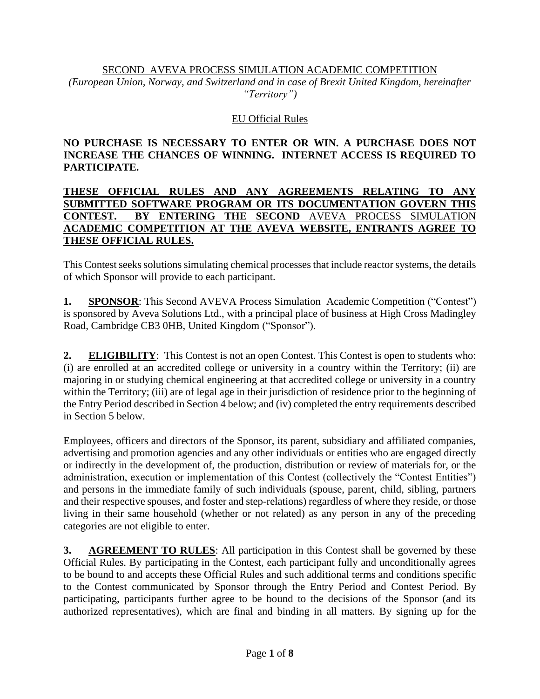#### SECOND AVEVA PROCESS SIMULATION ACADEMIC COMPETITION

*(European Union, Norway, and Switzerland and in case of Brexit United Kingdom, hereinafter "Territory")*

### EU Official Rules

### **NO PURCHASE IS NECESSARY TO ENTER OR WIN. A PURCHASE DOES NOT INCREASE THE CHANCES OF WINNING. INTERNET ACCESS IS REQUIRED TO PARTICIPATE.**

#### **THESE OFFICIAL RULES AND ANY AGREEMENTS RELATING TO ANY SUBMITTED SOFTWARE PROGRAM OR ITS DOCUMENTATION GOVERN THIS CONTEST. BY ENTERING THE SECOND** AVEVA PROCESS SIMULATION **ACADEMIC COMPETITION AT THE AVEVA WEBSITE, ENTRANTS AGREE TO THESE OFFICIAL RULES.**

This Contest seeks solutions simulating chemical processes that include reactor systems, the details of which Sponsor will provide to each participant.

**1. SPONSOR**: This Second AVEVA Process Simulation Academic Competition ("Contest") is sponsored by Aveva Solutions Ltd., with a principal place of business at High Cross Madingley Road, Cambridge CB3 0HB, United Kingdom ("Sponsor").

**2. ELIGIBILITY**: This Contest is not an open Contest. This Contest is open to students who: (i) are enrolled at an accredited college or university in a country within the Territory; (ii) are majoring in or studying chemical engineering at that accredited college or university in a country within the Territory; (iii) are of legal age in their jurisdiction of residence prior to the beginning of the Entry Period described in Section 4 below; and (iv) completed the entry requirements described in Section 5 below.

Employees, officers and directors of the Sponsor, its parent, subsidiary and affiliated companies, advertising and promotion agencies and any other individuals or entities who are engaged directly or indirectly in the development of, the production, distribution or review of materials for, or the administration, execution or implementation of this Contest (collectively the "Contest Entities") and persons in the immediate family of such individuals (spouse, parent, child, sibling, partners and their respective spouses, and foster and step-relations) regardless of where they reside, or those living in their same household (whether or not related) as any person in any of the preceding categories are not eligible to enter.

**3. AGREEMENT TO RULES**: All participation in this Contest shall be governed by these Official Rules. By participating in the Contest, each participant fully and unconditionally agrees to be bound to and accepts these Official Rules and such additional terms and conditions specific to the Contest communicated by Sponsor through the Entry Period and Contest Period. By participating, participants further agree to be bound to the decisions of the Sponsor (and its authorized representatives), which are final and binding in all matters. By signing up for the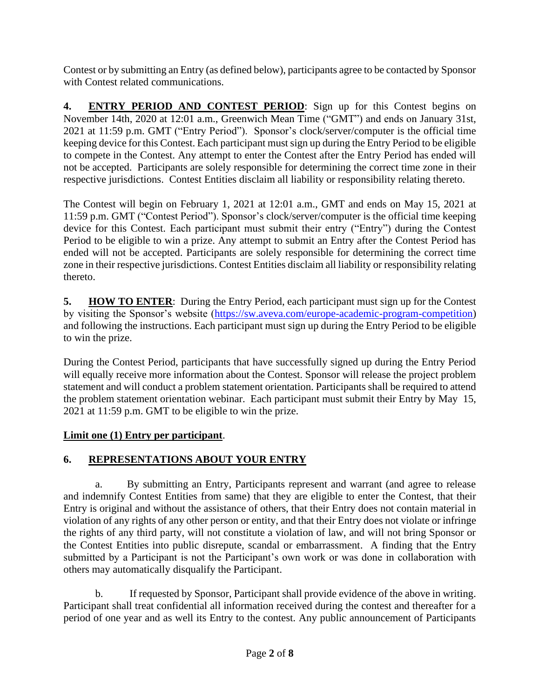Contest or by submitting an Entry (as defined below), participants agree to be contacted by Sponsor with Contest related communications.

**4. ENTRY PERIOD AND CONTEST PERIOD**: Sign up for this Contest begins on November 14th, 2020 at 12:01 a.m., Greenwich Mean Time ("GMT") and ends on January 31st, 2021 at 11:59 p.m. GMT ("Entry Period"). Sponsor's clock/server/computer is the official time keeping device for this Contest. Each participant must sign up during the Entry Period to be eligible to compete in the Contest. Any attempt to enter the Contest after the Entry Period has ended will not be accepted. Participants are solely responsible for determining the correct time zone in their respective jurisdictions. Contest Entities disclaim all liability or responsibility relating thereto.

The Contest will begin on February 1, 2021 at 12:01 a.m., GMT and ends on May 15, 2021 at 11:59 p.m. GMT ("Contest Period"). Sponsor's clock/server/computer is the official time keeping device for this Contest. Each participant must submit their entry ("Entry") during the Contest Period to be eligible to win a prize. Any attempt to submit an Entry after the Contest Period has ended will not be accepted. Participants are solely responsible for determining the correct time zone in their respective jurisdictions. Contest Entities disclaim all liability or responsibility relating thereto.

**5. HOW TO ENTER**: During the Entry Period, each participant must sign up for the Contest by visiting the Sponsor's website [\(https://sw.aveva.com/europe-academic-program-competition\)](https://sw.aveva.com/europe-academic-program-competition) and following the instructions. Each participant must sign up during the Entry Period to be eligible to win the prize.

During the Contest Period, participants that have successfully signed up during the Entry Period will equally receive more information about the Contest. Sponsor will release the project problem statement and will conduct a problem statement orientation. Participants shall be required to attend the problem statement orientation webinar. Each participant must submit their Entry by May 15, 2021 at 11:59 p.m. GMT to be eligible to win the prize.

# **Limit one (1) Entry per participant**.

# **6. REPRESENTATIONS ABOUT YOUR ENTRY**

a. By submitting an Entry, Participants represent and warrant (and agree to release and indemnify Contest Entities from same) that they are eligible to enter the Contest, that their Entry is original and without the assistance of others, that their Entry does not contain material in violation of any rights of any other person or entity, and that their Entry does not violate or infringe the rights of any third party, will not constitute a violation of law, and will not bring Sponsor or the Contest Entities into public disrepute, scandal or embarrassment. A finding that the Entry submitted by a Participant is not the Participant's own work or was done in collaboration with others may automatically disqualify the Participant.

b. If requested by Sponsor, Participant shall provide evidence of the above in writing. Participant shall treat confidential all information received during the contest and thereafter for a period of one year and as well its Entry to the contest. Any public announcement of Participants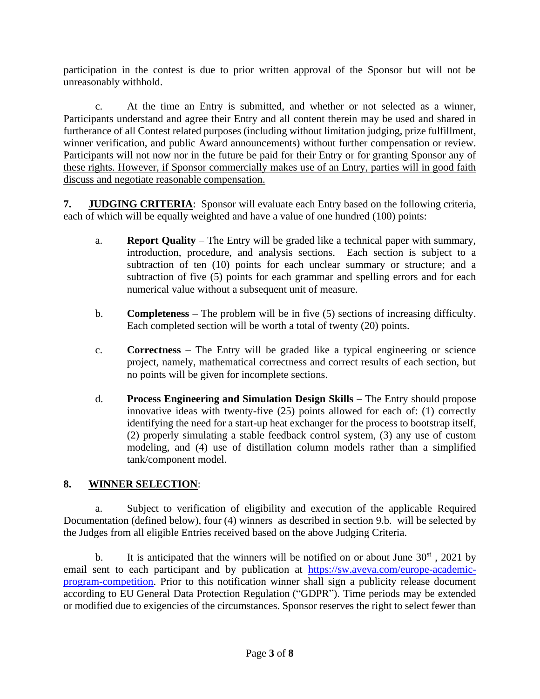participation in the contest is due to prior written approval of the Sponsor but will not be unreasonably withhold.

c. At the time an Entry is submitted, and whether or not selected as a winner, Participants understand and agree their Entry and all content therein may be used and shared in furtherance of all Contest related purposes (including without limitation judging, prize fulfillment, winner verification, and public Award announcements) without further compensation or review. Participants will not now nor in the future be paid for their Entry or for granting Sponsor any of these rights. However, if Sponsor commercially makes use of an Entry, parties will in good faith discuss and negotiate reasonable compensation.

**7. JUDGING CRITERIA**: Sponsor will evaluate each Entry based on the following criteria, each of which will be equally weighted and have a value of one hundred (100) points:

- a. **Report Quality** The Entry will be graded like a technical paper with summary, introduction, procedure, and analysis sections. Each section is subject to a subtraction of ten (10) points for each unclear summary or structure; and a subtraction of five (5) points for each grammar and spelling errors and for each numerical value without a subsequent unit of measure.
- b. **Completeness** The problem will be in five (5) sections of increasing difficulty. Each completed section will be worth a total of twenty (20) points.
- c. **Correctness** The Entry will be graded like a typical engineering or science project, namely, mathematical correctness and correct results of each section, but no points will be given for incomplete sections.
- d. **Process Engineering and Simulation Design Skills** The Entry should propose innovative ideas with twenty-five (25) points allowed for each of: (1) correctly identifying the need for a start-up heat exchanger for the process to bootstrap itself, (2) properly simulating a stable feedback control system, (3) any use of custom modeling, and (4) use of distillation column models rather than a simplified tank/component model.

# **8. WINNER SELECTION**:

a. Subject to verification of eligibility and execution of the applicable Required Documentation (defined below), four (4) winners as described in section 9.b. will be selected by the Judges from all eligible Entries received based on the above Judging Criteria.

b. It is anticipated that the winners will be notified on or about June  $30<sup>st</sup>$ , 2021 by email sent to each participant and by publication at [https://sw.aveva.com/europe-academic](https://sw.aveva.com/europe-academic-program-competition)[program-competition.](https://sw.aveva.com/europe-academic-program-competition) Prior to this notification winner shall sign a publicity release document according to EU General Data Protection Regulation ("GDPR"). Time periods may be extended or modified due to exigencies of the circumstances. Sponsor reserves the right to select fewer than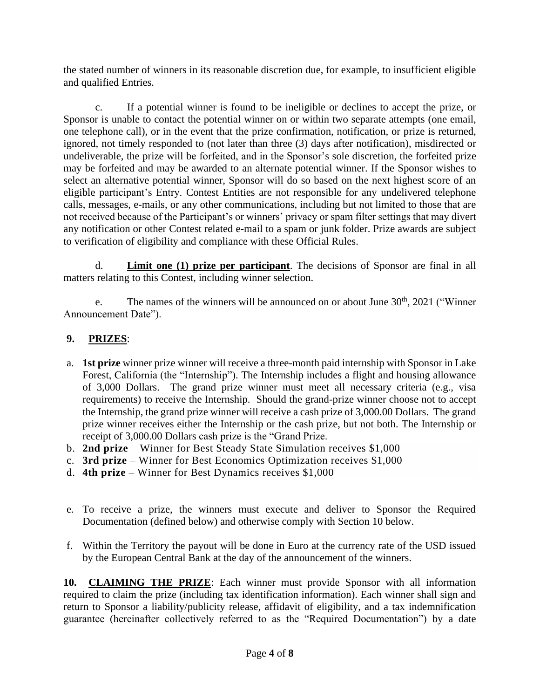the stated number of winners in its reasonable discretion due, for example, to insufficient eligible and qualified Entries.

c. If a potential winner is found to be ineligible or declines to accept the prize, or Sponsor is unable to contact the potential winner on or within two separate attempts (one email, one telephone call), or in the event that the prize confirmation, notification, or prize is returned, ignored, not timely responded to (not later than three (3) days after notification), misdirected or undeliverable, the prize will be forfeited, and in the Sponsor's sole discretion, the forfeited prize may be forfeited and may be awarded to an alternate potential winner. If the Sponsor wishes to select an alternative potential winner, Sponsor will do so based on the next highest score of an eligible participant's Entry. Contest Entities are not responsible for any undelivered telephone calls, messages, e-mails, or any other communications, including but not limited to those that are not received because of the Participant's or winners' privacy or spam filter settings that may divert any notification or other Contest related e-mail to a spam or junk folder. Prize awards are subject to verification of eligibility and compliance with these Official Rules.

d. **Limit one (1) prize per participant**. The decisions of Sponsor are final in all matters relating to this Contest, including winner selection.

e. The names of the winners will be announced on or about June  $30<sup>th</sup>$ ,  $2021$  ("Winner") Announcement Date").

### **9. PRIZES**:

- a. **1st prize** winner prize winner will receive a three-month paid internship with Sponsor in Lake Forest, California (the "Internship"). The Internship includes a flight and housing allowance of 3,000 Dollars. The grand prize winner must meet all necessary criteria (e.g., visa requirements) to receive the Internship. Should the grand-prize winner choose not to accept the Internship, the grand prize winner will receive a cash prize of 3,000.00 Dollars. The grand prize winner receives either the Internship or the cash prize, but not both. The Internship or receipt of 3,000.00 Dollars cash prize is the "Grand Prize.
- b. **2nd prize** Winner for Best Steady State Simulation receives \$1,000
- c. **3rd prize** Winner for Best Economics Optimization receives \$1,000
- d. **4th prize** Winner for Best Dynamics receives \$1,000
- e. To receive a prize, the winners must execute and deliver to Sponsor the Required Documentation (defined below) and otherwise comply with Section 10 below.
- f. Within the Territory the payout will be done in Euro at the currency rate of the USD issued by the European Central Bank at the day of the announcement of the winners.

**10. CLAIMING THE PRIZE**: Each winner must provide Sponsor with all information required to claim the prize (including tax identification information). Each winner shall sign and return to Sponsor a liability/publicity release, affidavit of eligibility, and a tax indemnification guarantee (hereinafter collectively referred to as the "Required Documentation") by a date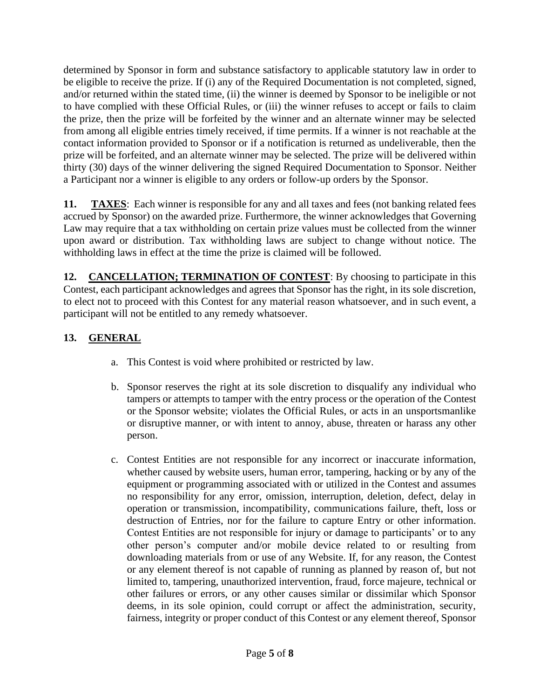determined by Sponsor in form and substance satisfactory to applicable statutory law in order to be eligible to receive the prize. If (i) any of the Required Documentation is not completed, signed, and/or returned within the stated time, (ii) the winner is deemed by Sponsor to be ineligible or not to have complied with these Official Rules, or (iii) the winner refuses to accept or fails to claim the prize, then the prize will be forfeited by the winner and an alternate winner may be selected from among all eligible entries timely received, if time permits. If a winner is not reachable at the contact information provided to Sponsor or if a notification is returned as undeliverable, then the prize will be forfeited, and an alternate winner may be selected. The prize will be delivered within thirty (30) days of the winner delivering the signed Required Documentation to Sponsor. Neither a Participant nor a winner is eligible to any orders or follow-up orders by the Sponsor.

**11. TAXES**: Each winner is responsible for any and all taxes and fees (not banking related fees accrued by Sponsor) on the awarded prize. Furthermore, the winner acknowledges that Governing Law may require that a tax withholding on certain prize values must be collected from the winner upon award or distribution. Tax withholding laws are subject to change without notice. The withholding laws in effect at the time the prize is claimed will be followed.

**12. CANCELLATION; TERMINATION OF CONTEST**: By choosing to participate in this Contest, each participant acknowledges and agrees that Sponsor has the right, in its sole discretion, to elect not to proceed with this Contest for any material reason whatsoever, and in such event, a participant will not be entitled to any remedy whatsoever.

### **13. GENERAL**

- a. This Contest is void where prohibited or restricted by law.
- b. Sponsor reserves the right at its sole discretion to disqualify any individual who tampers or attempts to tamper with the entry process or the operation of the Contest or the Sponsor website; violates the Official Rules, or acts in an unsportsmanlike or disruptive manner, or with intent to annoy, abuse, threaten or harass any other person.
- c. Contest Entities are not responsible for any incorrect or inaccurate information, whether caused by website users, human error, tampering, hacking or by any of the equipment or programming associated with or utilized in the Contest and assumes no responsibility for any error, omission, interruption, deletion, defect, delay in operation or transmission, incompatibility, communications failure, theft, loss or destruction of Entries, nor for the failure to capture Entry or other information. Contest Entities are not responsible for injury or damage to participants' or to any other person's computer and/or mobile device related to or resulting from downloading materials from or use of any Website. If, for any reason, the Contest or any element thereof is not capable of running as planned by reason of, but not limited to, tampering, unauthorized intervention, fraud, force majeure, technical or other failures or errors, or any other causes similar or dissimilar which Sponsor deems, in its sole opinion, could corrupt or affect the administration, security, fairness, integrity or proper conduct of this Contest or any element thereof, Sponsor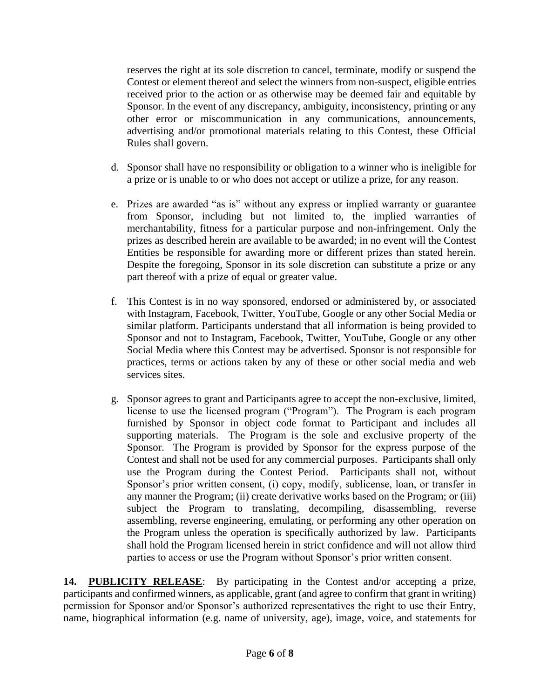reserves the right at its sole discretion to cancel, terminate, modify or suspend the Contest or element thereof and select the winners from non-suspect, eligible entries received prior to the action or as otherwise may be deemed fair and equitable by Sponsor. In the event of any discrepancy, ambiguity, inconsistency, printing or any other error or miscommunication in any communications, announcements, advertising and/or promotional materials relating to this Contest, these Official Rules shall govern.

- d. Sponsor shall have no responsibility or obligation to a winner who is ineligible for a prize or is unable to or who does not accept or utilize a prize, for any reason.
- e. Prizes are awarded "as is" without any express or implied warranty or guarantee from Sponsor, including but not limited to, the implied warranties of merchantability, fitness for a particular purpose and non-infringement. Only the prizes as described herein are available to be awarded; in no event will the Contest Entities be responsible for awarding more or different prizes than stated herein. Despite the foregoing, Sponsor in its sole discretion can substitute a prize or any part thereof with a prize of equal or greater value.
- f. This Contest is in no way sponsored, endorsed or administered by, or associated with Instagram, Facebook, Twitter, YouTube, Google or any other Social Media or similar platform. Participants understand that all information is being provided to Sponsor and not to Instagram, Facebook, Twitter, YouTube, Google or any other Social Media where this Contest may be advertised. Sponsor is not responsible for practices, terms or actions taken by any of these or other social media and web services sites.
- g. Sponsor agrees to grant and Participants agree to accept the non-exclusive, limited, license to use the licensed program ("Program"). The Program is each program furnished by Sponsor in object code format to Participant and includes all supporting materials. The Program is the sole and exclusive property of the Sponsor. The Program is provided by Sponsor for the express purpose of the Contest and shall not be used for any commercial purposes. Participants shall only use the Program during the Contest Period. Participants shall not, without Sponsor's prior written consent, (i) copy, modify, sublicense, loan, or transfer in any manner the Program; (ii) create derivative works based on the Program; or (iii) subject the Program to translating, decompiling, disassembling, reverse assembling, reverse engineering, emulating, or performing any other operation on the Program unless the operation is specifically authorized by law. Participants shall hold the Program licensed herein in strict confidence and will not allow third parties to access or use the Program without Sponsor's prior written consent.

**14. PUBLICITY RELEASE**: By participating in the Contest and/or accepting a prize, participants and confirmed winners, as applicable, grant (and agree to confirm that grant in writing) permission for Sponsor and/or Sponsor's authorized representatives the right to use their Entry, name, biographical information (e.g. name of university, age), image, voice, and statements for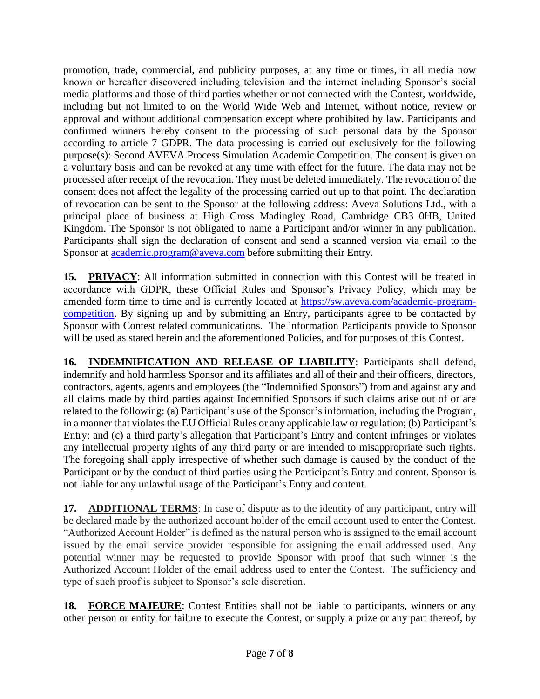promotion, trade, commercial, and publicity purposes, at any time or times, in all media now known or hereafter discovered including television and the internet including Sponsor's social media platforms and those of third parties whether or not connected with the Contest, worldwide, including but not limited to on the World Wide Web and Internet, without notice, review or approval and without additional compensation except where prohibited by law. Participants and confirmed winners hereby consent to the processing of such personal data by the Sponsor according to article 7 GDPR. The data processing is carried out exclusively for the following purpose(s): Second AVEVA Process Simulation Academic Competition. The consent is given on a voluntary basis and can be revoked at any time with effect for the future. The data may not be processed after receipt of the revocation. They must be deleted immediately. The revocation of the consent does not affect the legality of the processing carried out up to that point. The declaration of revocation can be sent to the Sponsor at the following address: Aveva Solutions Ltd., with a principal place of business at High Cross Madingley Road, Cambridge CB3 0HB, United Kingdom. The Sponsor is not obligated to name a Participant and/or winner in any publication. Participants shall sign the declaration of consent and send a scanned version via email to the Sponsor at [academic.program@aveva.com](mailto:academic.program@aveva.com) before submitting their Entry.

**15. PRIVACY**: All information submitted in connection with this Contest will be treated in accordance with GDPR, these Official Rules and Sponsor's Privacy Policy, which may be amended form time to time and is currently located at [https://sw.aveva.com/academic-program](https://sw.aveva.com/academic-program-competition)[competition.](https://sw.aveva.com/academic-program-competition) By signing up and by submitting an Entry, participants agree to be contacted by Sponsor with Contest related communications. The information Participants provide to Sponsor will be used as stated herein and the aforementioned Policies, and for purposes of this Contest.

**16. INDEMNIFICATION AND RELEASE OF LIABILITY**: Participants shall defend, indemnify and hold harmless Sponsor and its affiliates and all of their and their officers, directors, contractors, agents, agents and employees (the "Indemnified Sponsors") from and against any and all claims made by third parties against Indemnified Sponsors if such claims arise out of or are related to the following: (a) Participant's use of the Sponsor's information, including the Program, in a manner that violates the EU Official Rules or any applicable law or regulation; (b) Participant's Entry; and (c) a third party's allegation that Participant's Entry and content infringes or violates any intellectual property rights of any third party or are intended to misappropriate such rights. The foregoing shall apply irrespective of whether such damage is caused by the conduct of the Participant or by the conduct of third parties using the Participant's Entry and content. Sponsor is not liable for any unlawful usage of the Participant's Entry and content.

**17. ADDITIONAL TERMS**: In case of dispute as to the identity of any participant, entry will be declared made by the authorized account holder of the email account used to enter the Contest. "Authorized Account Holder" is defined as the natural person who is assigned to the email account issued by the email service provider responsible for assigning the email addressed used. Any potential winner may be requested to provide Sponsor with proof that such winner is the Authorized Account Holder of the email address used to enter the Contest. The sufficiency and type of such proof is subject to Sponsor's sole discretion.

18. **FORCE MAJEURE:** Contest Entities shall not be liable to participants, winners or any other person or entity for failure to execute the Contest, or supply a prize or any part thereof, by